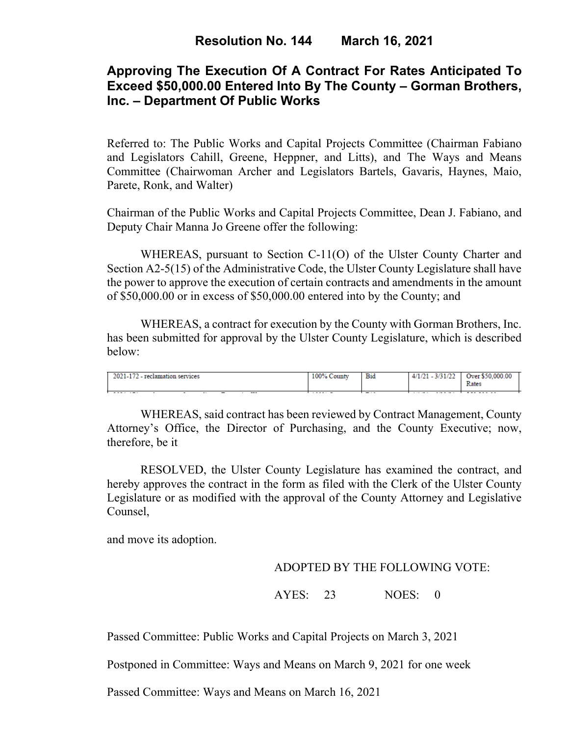# **Approving The Execution Of A Contract For Rates Anticipated To Exceed \$50,000.00 Entered Into By The County – Gorman Brothers, Inc. – Department Of Public Works**

Referred to: The Public Works and Capital Projects Committee (Chairman Fabiano and Legislators Cahill, Greene, Heppner, and Litts), and The Ways and Means Committee (Chairwoman Archer and Legislators Bartels, Gavaris, Haynes, Maio, Parete, Ronk, and Walter)

Chairman of the Public Works and Capital Projects Committee, Dean J. Fabiano, and Deputy Chair Manna Jo Greene offer the following:

WHEREAS, pursuant to Section C-11(O) of the Ulster County Charter and Section A2-5(15) of the Administrative Code, the Ulster County Legislature shall have the power to approve the execution of certain contracts and amendments in the amount of \$50,000.00 or in excess of \$50,000.00 entered into by the County; and

WHEREAS, a contract for execution by the County with Gorman Brothers, Inc. has been submitted for approval by the Ulster County Legislature, which is described below:

| 2021<br><b>ALCOHOL:</b><br><b>TAC</b><br>$\sim$ | $100\%$<br>$\sim$<br>County. | <b>Bid</b> | 3.63.8.63.93<br>4/1/21<br>- 313 1122<br>$-1$ | .000.00<br>50<br>hrer.<br>Rates |
|-------------------------------------------------|------------------------------|------------|----------------------------------------------|---------------------------------|
| .<br>---<br>. .                                 | .                            | ---        | .                                            | .                               |

WHEREAS, said contract has been reviewed by Contract Management, County Attorney's Office, the Director of Purchasing, and the County Executive; now, therefore, be it

RESOLVED, the Ulster County Legislature has examined the contract, and hereby approves the contract in the form as filed with the Clerk of the Ulster County Legislature or as modified with the approval of the County Attorney and Legislative Counsel,

and move its adoption.

### ADOPTED BY THE FOLLOWING VOTE:

AYES: 23 NOES: 0

Passed Committee: Public Works and Capital Projects on March 3, 2021

Postponed in Committee: Ways and Means on March 9, 2021 for one week

Passed Committee: Ways and Means on March 16, 2021